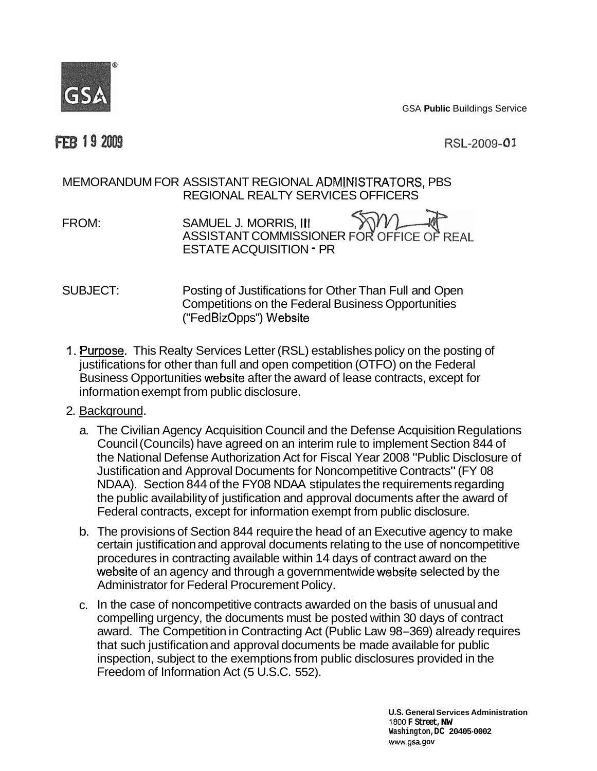

GSA **Public** Buildings Service

## **FEB 19 2009**

RSL-2009-01

## MEMORANDUM FOR ASSISTANT REGIONAL ADMINISTRATORS, PBS REGIONAL REALTY SERVICES OFFICERS

FROM: SAMUEL J. MORRIS, III ASSISTANT COMMISSIONER FOR OFFICE OF REAL ESTATE ACQUISITION - PR

## ("FedBizOpps") Website SUBJECT: Posting of Justifications for Other Than Full and Open Competitions on the Federal Business Opportunities

1. Purpose. This Realty Services Letter (RSL) establishes policy on the posting of Business Opportunities website after the award of lease contracts, except for justifications for other than full and open competition (OTFO) on the Federal information exempt from public disclosure.

## 2. Backqround.

- a. The Civilian Agency Acquisition Council and the Defense Acquisition Regulations Council (Councils) have agreed on an interim rule to implement Section 844 of the National Defense Authorization Act for Fiscal Year 2008 "Public Disclosure of Justification and Approval Documents for Noncompetitive Contracts" (FY 08 NDAA). Section 844 of the FY08 NDAA stipulates the requirements regarding the public availability of justification and approval documents after the award of Federal contracts, except for information exempt from public disclosure.
- website of an agency and through a governmentwide website selected by the b. The provisions of Section 844 require the head of an Executive agency to make certain justification and approval documents relating to the use of noncompetitive procedures in contracting available within 14 days of contract award on the Administrator for Federal Procurement Policy.
- c. In the case of noncompetitive contracts awarded on the basis of unusual and compelling urgency, the documents must be posted within 30 days of contract award. The Competition in Contracting Act (Public Law 98-369) already requires that such justification and approval documents be made available for public inspection, subject to the exemptions from public disclosures provided in the Freedom of Information Act (5 U.S.C. 552).

**1800 F Street,NW www.gsa. gov U.S. General Services Administration Washington,DC 20405-0002**